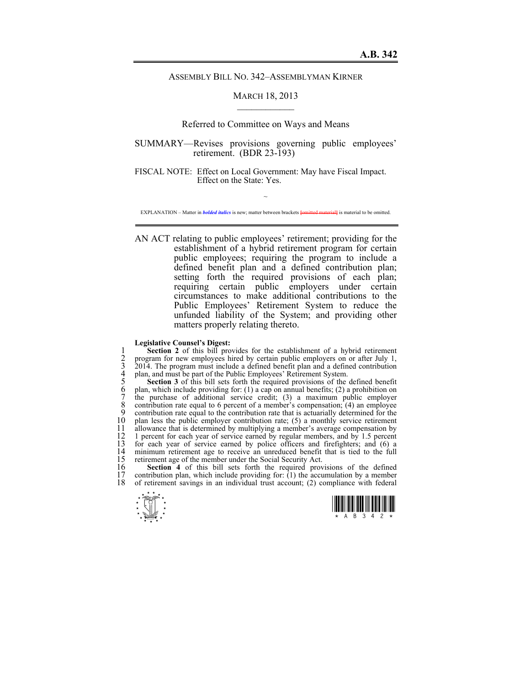### ASSEMBLY BILL NO. 342–ASSEMBLYMAN KIRNER

## MARCH 18, 2013  $\mathcal{L}_\text{max}$

## Referred to Committee on Ways and Means

# SUMMARY—Revises provisions governing public employees' retirement. (BDR 23-193)

FISCAL NOTE: Effect on Local Government: May have Fiscal Impact. Effect on the State: Yes.

~ EXPLANATION – Matter in *bolded italics* is new; matter between brackets **[**omitted material**]** is material to be omitted.

AN ACT relating to public employees' retirement; providing for the establishment of a hybrid retirement program for certain public employees; requiring the program to include a defined benefit plan and a defined contribution plan; setting forth the required provisions of each plan; requiring certain public employers under certain circumstances to make additional contributions to the Public Employees' Retirement System to reduce the unfunded liability of the System; and providing other matters properly relating thereto.

#### **Legislative Counsel's Digest:**

**Section 2** of this bill provides for the establishment of a hybrid retirement<br>
2 program for new employees hired by certain public employers on or after July 1,<br>
3 2014. The program must include a defined benefit plan and program for new employees hired by certain public employers on or after July 1, 3 2014. The program must include a defined benefit plan and a defined contribution plan, and must be part of the Public Employees' Retirement System.

5 **Section 3** of this bill sets forth the required provisions of the defined benefit plan, which include providing for: (1) a cap on annual benefits; (2) a prohibition on 7 the purchase of additional service credit; (3) a maximum public employer 8 contribution rate equal to 6 percent of a member's compensation;  $(4)$  an employee contribution rate equal to the contribution rate that is actuarially determined for the 9 contribution rate equal to the contribution rate that is actuarially determined for the  $10$  plan less the public employer contribution rate: (5) a monthly service retirement 10 plan less the public employer contribution rate; (5) a monthly service retirement 11 allowance that is determined by multiplying a member's average compensation by 11 allowance that is determined by multiplying a member's average compensation by 12 1 percent for each year of service earned by regular members, and by 1.5 percent 12 1 percent for each year of service earned by regular members, and by 1.5 percent 13 for each year of service earned by police officers and firefighters; and (6) a 13 for each year of service earned by police officers and firefighters; and (6) a 14 minimum retirement age to receive an unreduced benefit that is tied to the full 15 retirement age of the member under the Social Security Act. 15 retirement age of the member under the Social Security Act.<br>16 **Section 4** of this bill sets forth the required prov

16 **Section 4** of this bill sets forth the required provisions of the defined contribution plan, which include providing for: (1) the accumulation by a member 17 contribution plan, which include providing for:  $(1)$  the accumulation by a member 18 of retirement savings in an individual trust account: (2) compliance with federal of retirement savings in an individual trust account; (2) compliance with federal



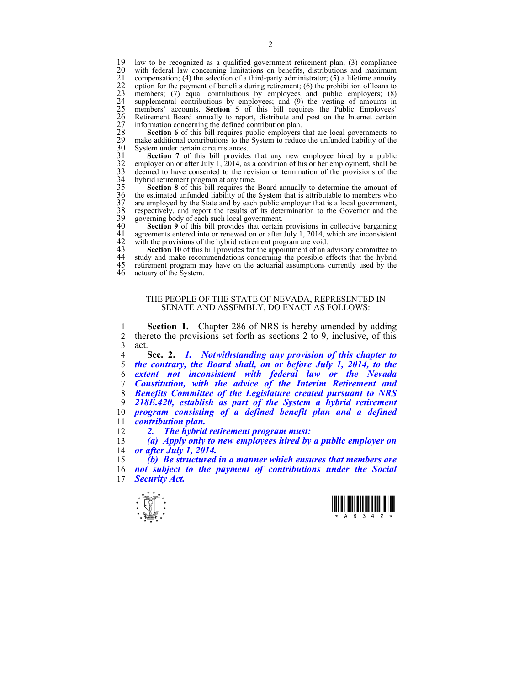19 law to be recognized as a qualified government retirement plan; (3) compliance with federal law concerning limitations on benefits, distributions and maximum 22 ordention for the payment of benefits during retirement; with federal law concerning limitations on benefits, distributions and maximum compensation; (4) the selection of a third-party administrator;  $(5)$  a lifetime annuity 22 option for the payment of benefits during retirement; (6) the prohibition of loans to members;  $(7)$  equal contributions by employees and public employers;  $(8)$ supplemental contributions by employees; and  $(9)$  the vesting of amounts in members' accounts. **Section 5** of this bill requires the Public Employees' 26 Retirement Board annually to report, distribute and post on the Internet certain information concerning the defined contribution plan.

**Section 6** of this bill requires public employers that are local governments to make additional contributions to the System to reduce the unfunded liability of the System under certain circumstances.

Section 7 of this bill provides that any new employee hired by a public employer on or after July 1, 2014, as a condition of his or her employment, shall be deemed to have consented to the revision or termination of the provisions of the hybrid retirement program at any time.

**Section 8** of this bill requires the Board annually to determine the amount of the estimated unfunded liability of the System that is attributable to members who are employed by the State and by each public employer that is a local government, 38 respectively, and report the results of its determination to the Governor and the 39 governing body of each such local government.<br>40 **Section 9** of this bill provides that certain

40 **Section 9** of this bill provides that certain provisions in collective bargaining 41 agreements entered into or renewed on or after July 1, 2014, which are inconsistent 41 agreements entered into or renewed on or after July 1, 2014, which are inconsistent 42 with the provisions of the hybrid retirement program are void.<br>43 **Section 10** of this bill provides for the appointment of an advis with the provisions of the hybrid retirement program are void.

43 **Section 10** of this bill provides for the appointment of an advisory committee to the study and make recommendations concerning the possible effects that the hybrid 44 study and make recommendations concerning the possible effects that the hybrid 45 retirement program may have on the actuarial assumptions currently used by the 45 retirement program may have on the actuarial assumptions currently used by the actuary of the System.

> THE PEOPLE OF THE STATE OF NEVADA, REPRESENTED IN SENATE AND ASSEMBLY, DO ENACT AS FOLLOWS:

1 **Section 1.** Chapter 286 of NRS is hereby amended by adding 2 thereto the provisions set forth as sections  $2 \text{ to } 9$ , inclusive, of this  $3$  act.<br>4

**Sec. 2.** *1. Notwithstanding any provision of this chapter to the contrary, the Board shall, on or before July 1, 2014, to the extent not inconsistent with federal law or the Nevada Constitution, with the advice of the Interim Retirement and Benefits Committee of the Legislature created pursuant to NRS 218E.420, establish as part of the System a hybrid retirement program consisting of a defined benefit plan and a defined contribution plan.* 

12 *2. The hybrid retirement program must:* 

13 *(a) Apply only to new employees hired by a public employer on*  14 *or after July 1, 2014.* 

15 *(b) Be structured in a manner which ensures that members are*  16 *not subject to the payment of contributions under the Social*  17 *Security Act.* 



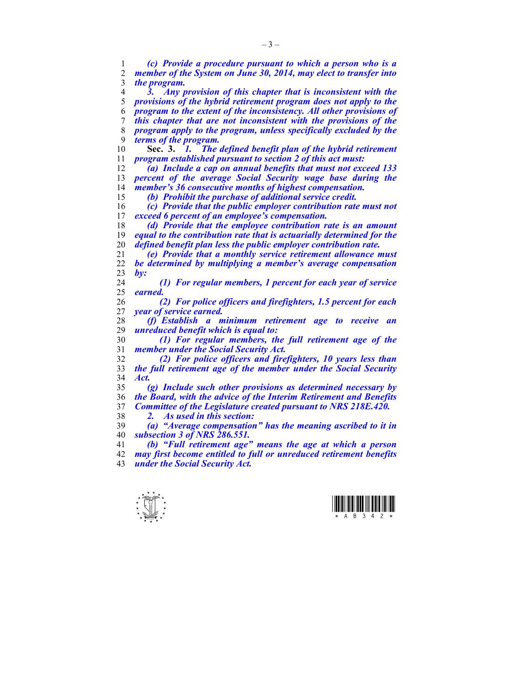*(c) Provide a procedure pursuant to which a person who is a member of the System on June 30, 2014, may elect to transfer into the program. 3. Any provision of this chapter that is inconsistent with the provisions of the hybrid retirement program does not apply to the program to the extent of the inconsistency. All other provisions of this chapter that are not inconsistent with the provisions of the program apply to the program, unless specifically excluded by the terms of the program.*  **Sec. 3.** *1. The defined benefit plan of the hybrid retirement program established pursuant to section 2 of this act must: (a) Include a cap on annual benefits that must not exceed 133 percent of the average Social Security wage base during the member's 36 consecutive months of highest compensation. (b) Prohibit the purchase of additional service credit. (c) Provide that the public employer contribution rate must not exceed 6 percent of an employee's compensation. (d) Provide that the employee contribution rate is an amount equal to the contribution rate that is actuarially determined for the defined benefit plan less the public employer contribution rate. (e) Provide that a monthly service retirement allowance must be determined by multiplying a member's average compensation by: (1) For regular members, 1 percent for each year of service earned. (2) For police officers and firefighters, 1.5 percent for each year of service earned. (f) Establish a minimum retirement age to receive an unreduced benefit which is equal to: (1) For regular members, the full retirement age of the member under the Social Security Act. (2) For police officers and firefighters, 10 years less than the full retirement age of the member under the Social Security Act. (g) Include such other provisions as determined necessary by the Board, with the advice of the Interim Retirement and Benefits Committee of the Legislature created pursuant to NRS 218E.420. 2. As used in this section: (a) "Average compensation" has the meaning ascribed to it in subsection 3 of NRS 286.551. (b) "Full retirement age" means the age at which a person may first become entitled to full or unreduced retirement benefits under the Social Security Act.* 



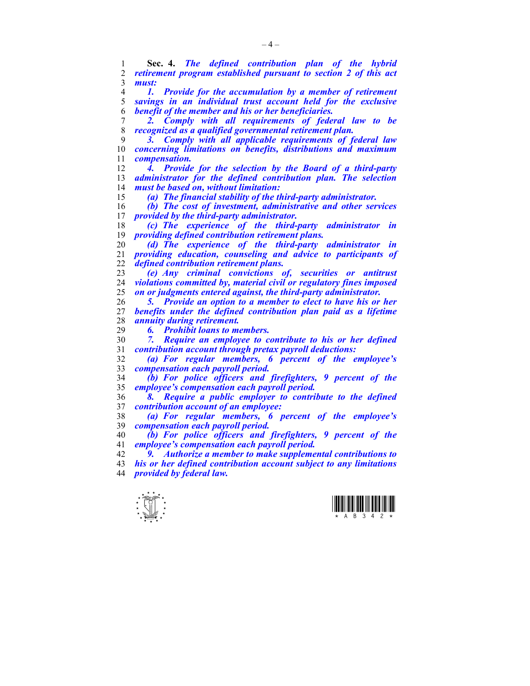**Sec. 4.** *The defined contribution plan of the hybrid retirement program established pursuant to section 2 of this act must:* 

*1. Provide for the accumulation by a member of retirement savings in an individual trust account held for the exclusive benefit of the member and his or her beneficiaries.* 

*2. Comply with all requirements of federal law to be recognized as a qualified governmental retirement plan.* 

*3. Comply with all applicable requirements of federal law concerning limitations on benefits, distributions and maximum compensation.* 

*4. Provide for the selection by the Board of a third-party administrator for the defined contribution plan. The selection must be based on, without limitation:* 

*(a) The financial stability of the third-party administrator.* 

*(b) The cost of investment, administrative and other services provided by the third-party administrator.* 

*(c) The experience of the third-party administrator in providing defined contribution retirement plans.* 

*(d) The experience of the third-party administrator in providing education, counseling and advice to participants of defined contribution retirement plans.* 

*(e) Any criminal convictions of, securities or antitrust violations committed by, material civil or regulatory fines imposed on or judgments entered against, the third-party administrator.* 

*5. Provide an option to a member to elect to have his or her benefits under the defined contribution plan paid as a lifetime annuity during retirement.* 

*6. Prohibit loans to members.* 

*7. Require an employee to contribute to his or her defined contribution account through pretax payroll deductions:* 

*(a) For regular members, 6 percent of the employee's compensation each payroll period.* 

*(b) For police officers and firefighters, 9 percent of the employee's compensation each payroll period.* 

*8. Require a public employer to contribute to the defined contribution account of an employee:* 

*(a) For regular members, 6 percent of the employee's compensation each payroll period.* 

*(b) For police officers and firefighters, 9 percent of the employee's compensation each payroll period.* 

*9. Authorize a member to make supplemental contributions to his or her defined contribution account subject to any limitations provided by federal law.* 



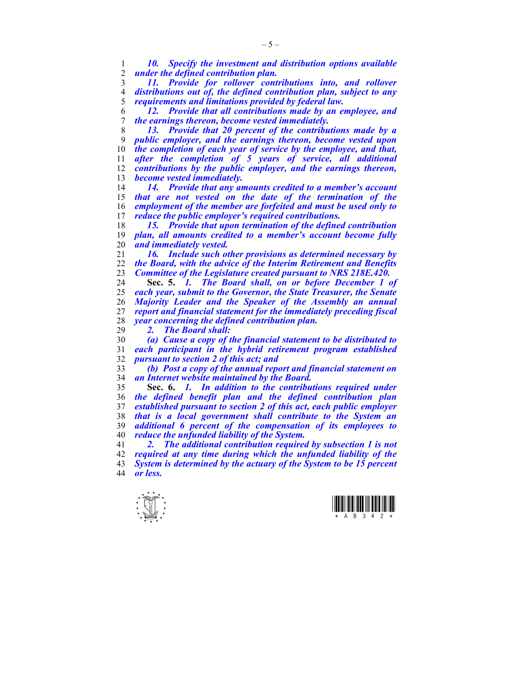*10. Specify the investment and distribution options available under the defined contribution plan.* 

*11. Provide for rollover contributions into, and rollover distributions out of, the defined contribution plan, subject to any requirements and limitations provided by federal law.* 

*12. Provide that all contributions made by an employee, and the earnings thereon, become vested immediately.* 

*13. Provide that 20 percent of the contributions made by a public employer, and the earnings thereon, become vested upon the completion of each year of service by the employee, and that, after the completion of 5 years of service, all additional contributions by the public employer, and the earnings thereon, become vested immediately.* 

*14. Provide that any amounts credited to a member's account that are not vested on the date of the termination of the employment of the member are forfeited and must be used only to reduce the public employer's required contributions.* 

*15. Provide that upon termination of the defined contribution plan, all amounts credited to a member's account become fully and immediately vested.* 

*16. Include such other provisions as determined necessary by the Board, with the advice of the Interim Retirement and Benefits Committee of the Legislature created pursuant to NRS 218E.420.* 

**Sec. 5.** *1. The Board shall, on or before December 1 of each year, submit to the Governor, the State Treasurer, the Senate Majority Leader and the Speaker of the Assembly an annual report and financial statement for the immediately preceding fiscal year concerning the defined contribution plan.* 

*2. The Board shall:* 

*(a) Cause a copy of the financial statement to be distributed to each participant in the hybrid retirement program established pursuant to section 2 of this act; and* 

*(b) Post a copy of the annual report and financial statement on an Internet website maintained by the Board.* 

**Sec. 6.** *1. In addition to the contributions required under the defined benefit plan and the defined contribution plan established pursuant to section 2 of this act, each public employer that is a local government shall contribute to the System an additional 6 percent of the compensation of its employees to reduce the unfunded liability of the System.* 

*2. The additional contribution required by subsection 1 is not required at any time during which the unfunded liability of the System is determined by the actuary of the System to be 15 percent or less.* 



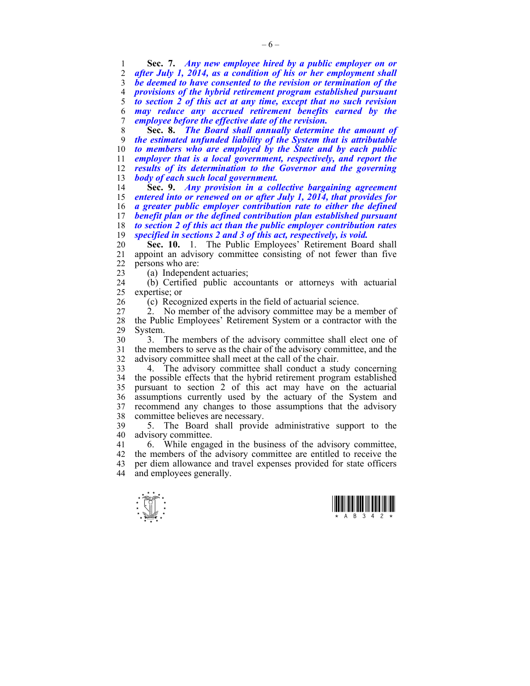**Sec. 7.** *Any new employee hired by a public employer on or after July 1, 2014, as a condition of his or her employment shall be deemed to have consented to the revision or termination of the provisions of the hybrid retirement program established pursuant to section 2 of this act at any time, except that no such revision may reduce any accrued retirement benefits earned by the employee before the effective date of the revision.* 

**Sec. 8.** *The Board shall annually determine the amount of the estimated unfunded liability of the System that is attributable to members who are employed by the State and by each public employer that is a local government, respectively, and report the results of its determination to the Governor and the governing body of each such local government.* 

**Sec. 9.** *Any provision in a collective bargaining agreement entered into or renewed on or after July 1, 2014, that provides for a greater public employer contribution rate to either the defined benefit plan or the defined contribution plan established pursuant to section 2 of this act than the public employer contribution rates specified in sections 2 and 3 of this act, respectively, is void.* 

20 **Sec. 10.** 1. The Public Employees' Retirement Board shall 21 appoint an advisory committee consisting of not fewer than five 22 persons who are:

23 (a) Independent actuaries;

24 (b) Certified public accountants or attorneys with actuarial 25 expertise; or

26 (c) Recognized experts in the field of actuarial science.

27 2. No member of the advisory committee may be a member of 28 the Public Employees' Retirement System or a contractor with the 29 System.

30 3. The members of the advisory committee shall elect one of 31 the members to serve as the chair of the advisory committee, and the 32 advisory committee shall meet at the call of the chair.

33 4. The advisory committee shall conduct a study concerning 34 the possible effects that the hybrid retirement program established 35 pursuant to section 2 of this act may have on the actuarial 36 assumptions currently used by the actuary of the System and 37 recommend any changes to those assumptions that the advisory 38 committee believes are necessary.

39 5. The Board shall provide administrative support to the 40 advisory committee.

41 6. While engaged in the business of the advisory committee, 42 the members of the advisory committee are entitled to receive the 43 per diem allowance and travel expenses provided for state officers 44 and employees generally.